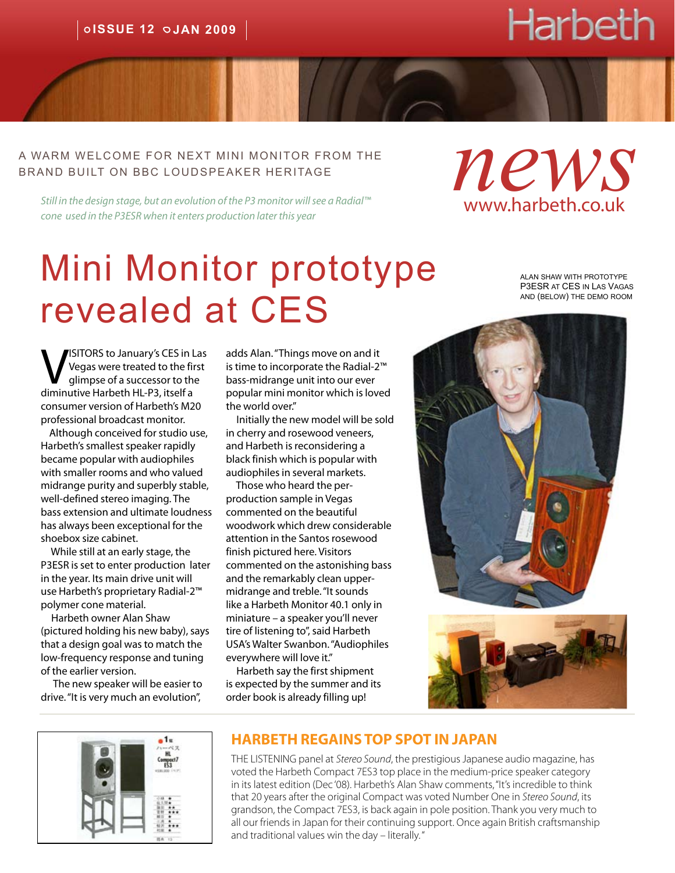# Harbeth

#### A warm welcome for next mini monitor from the brand built on bbc loudspeaker heritage

*Still in the design stage, but an evolution of the P3 monitor will see a Radial™ cone used in the P3ESR when it enters production later this year*

# Mini Monitor prototype revealed at CES

alan shaw with prototype P3ESR at CES in Las Vagas and (below) the demo room

*news*

www.harbeth.co.uk

VISITORS to January's CES in Las<br>Vegas were treated to the first<br>diminutive Harbeth HL-P3 itself a Vegas were treated to the first glimpse of a successor to the diminutive Harbeth HL-P3, itself a consumer version of Harbeth's M20 professional broadcast monitor.

 Although conceived for studio use, Harbeth's smallest speaker rapidly became popular with audiophiles with smaller rooms and who valued midrange purity and superbly stable, well-defined stereo imaging. The bass extension and ultimate loudness has always been exceptional for the shoebox size cabinet.

 While still at an early stage, the P3ESR is set to enter production later in the year. Its main drive unit will use Harbeth's proprietary Radial-2™ polymer cone material.

 Harbeth owner Alan Shaw (pictured holding his new baby), says that a design goal was to match the low-frequency response and tuning of the earlier version.

 The new speaker will be easier to drive. "It is very much an evolution",

adds Alan. "Things move on and it is time to incorporate the Radial-2™ bass-midrange unit into our ever popular mini monitor which is loved the world over."

 Initially the new model will be sold in cherry and rosewood veneers, and Harbeth is reconsidering a black finish which is popular with audiophiles in several markets.

 Those who heard the perproduction sample in Vegas commented on the beautiful woodwork which drew considerable attention in the Santos rosewood finish pictured here. Visitors commented on the astonishing bass and the remarkably clean uppermidrange and treble. "It sounds like a Harbeth Monitor 40.1 only in miniature – a speaker you'll never tire of listening to", said Harbeth USA's Walter Swanbon. "Audiophiles everywhere will love it."

 Harbeth say the first shipment is expected by the summer and its order book is already filling up!







#### **HARBETH REGAINS TOP SPOT IN JAPAN**

THE LISTENING panel at *Stereo Sound*, the prestigious Japanese audio magazine, has voted the Harbeth Compact 7ES3 top place in the medium-price speaker category in its latest edition (Dec '08). Harbeth's Alan Shaw comments, "It's incredible to think that 20 years after the original Compact was voted Number One in *Stereo Sound*, its grandson, the Compact 7ES3, is back again in pole position. Thank you very much to all our friends in Japan for their continuing support. Once again British craftsmanship and traditional values win the day – literally. "